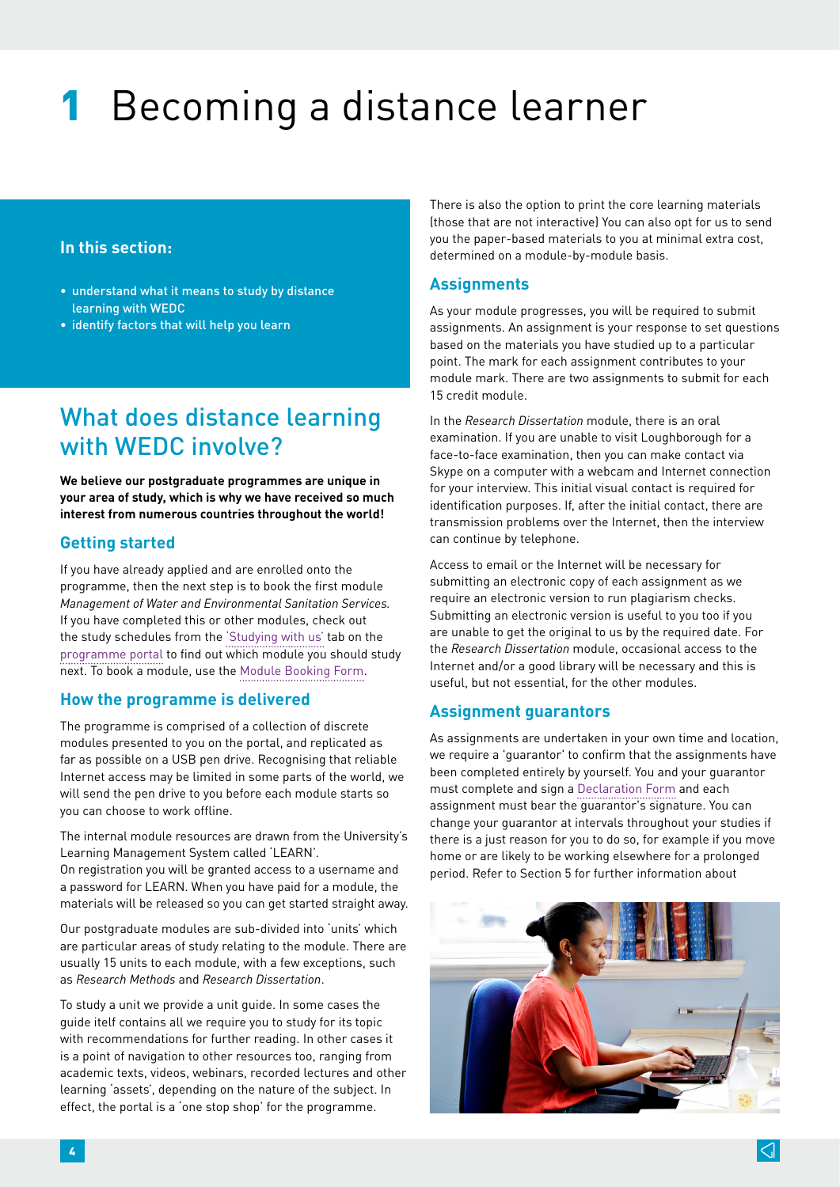# 1 Becoming a distance learner

#### **In this section:**

- understand what it means to study by distance learning with WEDC
- identify factors that will help you learn

## What does distance learning with WEDC involve?

**We believe our postgraduate programmes are unique in your area of study, which is why we have received so much interest from numerous countries throughout the world!**

#### **Getting started**

If you have already applied and are enrolled onto the programme, then the next step is to book the first module *Management of Water and Environmental Sanitation Services.*  If you have completed this or other modules, check out the study schedules from the ['Studying with us'](http://www.lboro.ac.uk/research/wedc/programmes/iwsm-portal) tab on the [programme portal](http://www.lboro.ac.uk/research/wedc/programmes/iwsm-portal) to find out which module you should study next. To book a module, use the [Module Booking Form.](http://www.lboro.ac.uk/research/wedc/programmes/iwsm-portal)

#### **How the programme is delivered**

The programme is comprised of a collection of discrete modules presented to you on the portal, and replicated as far as possible on a USB pen drive. Recognising that reliable Internet access may be limited in some parts of the world, we will send the pen drive to you before each module starts so you can choose to work offline.

The internal module resources are drawn from the University's Learning Management System called 'LEARN'. On registration you will be granted access to a username and a password for LEARN. When you have paid for a module, the

materials will be released so you can get started straight away.

Our postgraduate modules are sub-divided into 'units' which are particular areas of study relating to the module. There are usually 15 units to each module, with a few exceptions, such as *Research Methods* and *Research Dissertation*.

To study a unit we provide a unit guide. In some cases the guide itelf contains all we require you to study for its topic with recommendations for further reading. In other cases it is a point of navigation to other resources too, ranging from academic texts, videos, webinars, recorded lectures and other learning 'assets', depending on the nature of the subject. In effect, the portal is a 'one stop shop' for the programme.

There is also the option to print the core learning materials (those that are not interactive) You can also opt for us to send you the paper-based materials to you at minimal extra cost, determined on a module-by-module basis.

#### **Assignments**

As your module progresses, you will be required to submit assignments. An assignment is your response to set questions based on the materials you have studied up to a particular point. The mark for each assignment contributes to your module mark. There are two assignments to submit for each 15 credit module.

In the *Research Dissertation* module, there is an oral examination. If you are unable to visit Loughborough for a face-to-face examination, then you can make contact via Skype on a computer with a webcam and Internet connection for your interview. This initial visual contact is required for identification purposes. If, after the initial contact, there are transmission problems over the Internet, then the interview can continue by telephone.

Access to email or the Internet will be necessary for submitting an electronic copy of each assignment as we require an electronic version to run plagiarism checks. Submitting an electronic version is useful to you too if you are unable to get the original to us by the required date. For the *Research Dissertation* module, occasional access to the Internet and/or a good library will be necessary and this is useful, but not essential, for the other modules.

#### **Assignment guarantors**

As assignments are undertaken in your own time and location, we require a 'guarantor' to confirm that the assignments have been completed entirely by yourself. You and your guarantor must complete and sign a [Declaration Form](http://www.lboro.ac.uk/research/wedc/programmes/iwsm-portal) and each assignment must bear the guarantor's signature. You can change your guarantor at intervals throughout your studies if there is a just reason for you to do so, for example if you move home or are likely to be working elsewhere for a prolonged period. Refer to Section 5 for further information about